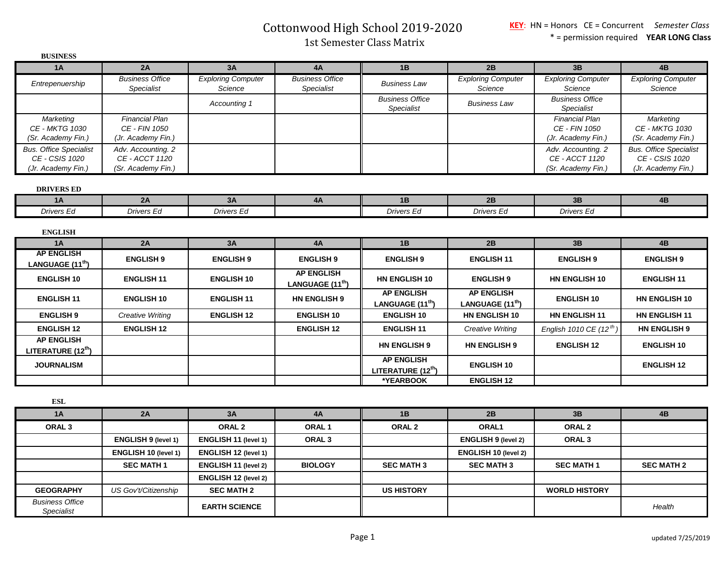Cottonwood High School 2019-2020

1st Semester Class Matrix

| <b>BUSINESS</b>                                     |                                          |                                      |                                                   |                                                     |                                                   |                                             |                                                     |
|-----------------------------------------------------|------------------------------------------|--------------------------------------|---------------------------------------------------|-----------------------------------------------------|---------------------------------------------------|---------------------------------------------|-----------------------------------------------------|
| 1A                                                  | 2A                                       | 3A                                   | 4A                                                | 1B                                                  | 2B                                                | 3B                                          | 4B                                                  |
| Entrepenuership                                     | <b>Business Office</b><br>Specialist     | <b>Exploring Computer</b><br>Science | <b>Business Office</b><br><b>Specialist</b>       | <b>Business Law</b>                                 | <b>Exploring Computer</b><br>Science              | <b>Exploring Computer</b><br>Science        | <b>Exploring Computer</b><br>Science                |
|                                                     |                                          | Accounting 1                         |                                                   | <b>Business Office</b><br>Specialist                | <b>Business Law</b>                               | <b>Business Office</b><br><b>Specialist</b> |                                                     |
| Marketing                                           | <b>Financial Plan</b>                    |                                      |                                                   |                                                     |                                                   | <b>Financial Plan</b>                       | Marketing                                           |
| <b>CE - MKTG 1030</b>                               | CE - FIN 1050                            |                                      |                                                   |                                                     |                                                   | CE - FIN 1050                               | <b>CE - MKTG 1030</b>                               |
| (Sr. Academy Fin.)<br><b>Bus. Office Specialist</b> | (Jr. Academy Fin.)<br>Adv. Accounting. 2 |                                      |                                                   |                                                     |                                                   | (Jr. Academy Fin.)<br>Adv. Accounting. 2    | (Sr. Academy Fin.)<br><b>Bus. Office Specialist</b> |
| CE - CSIS 1020                                      | CE - ACCT 1120                           |                                      |                                                   |                                                     |                                                   | CE - ACCT 1120                              | CE - CSIS 1020                                      |
| (Jr. Academy Fin.)                                  | (Sr. Academy Fin.)                       |                                      |                                                   |                                                     |                                                   | (Sr. Academy Fin.)                          | (Jr. Academy Fin.)                                  |
| <b>DRIVERS ED</b>                                   |                                          |                                      |                                                   |                                                     |                                                   |                                             |                                                     |
| <b>1A</b>                                           | 2A                                       | 3A                                   | 4A                                                | 1B                                                  | 2B                                                | 3B                                          | 4B                                                  |
| Drivers Ed                                          | Drivers Ed                               | <b>Drivers Ed</b>                    |                                                   | <b>Drivers Ed</b>                                   | <b>Drivers Ed</b>                                 | <b>Drivers Ed</b>                           |                                                     |
| <b>ENGLISH</b>                                      |                                          |                                      |                                                   |                                                     |                                                   |                                             |                                                     |
| 1A                                                  | 2A                                       | 3A                                   | 4A                                                | 1B                                                  | 2B                                                | 3B                                          | 4B                                                  |
| <b>AP ENGLISH</b><br>LANGUAGE (11 <sup>th</sup> )   | <b>ENGLISH 9</b>                         | <b>ENGLISH 9</b>                     | <b>ENGLISH 9</b>                                  | <b>ENGLISH 9</b>                                    | <b>ENGLISH 11</b>                                 | <b>ENGLISH 9</b>                            | <b>ENGLISH 9</b>                                    |
| <b>ENGLISH 10</b>                                   | <b>ENGLISH 11</b>                        | <b>ENGLISH 10</b>                    | <b>AP ENGLISH</b><br>LANGUAGE (11 <sup>th</sup> ) | <b>HN ENGLISH 10</b>                                | <b>ENGLISH 9</b>                                  | <b>HN ENGLISH 10</b>                        | <b>ENGLISH 11</b>                                   |
| <b>ENGLISH 11</b>                                   | <b>ENGLISH 10</b>                        | <b>ENGLISH 11</b>                    | <b>HN ENGLISH 9</b>                               | <b>AP ENGLISH</b><br>LANGUAGE (11 <sup>th</sup> )   | <b>AP ENGLISH</b><br>LANGUAGE (11 <sup>th</sup> ) | <b>ENGLISH 10</b>                           | <b>HN ENGLISH 10</b>                                |
| <b>ENGLISH 9</b>                                    | Creative Writing                         | <b>ENGLISH 12</b>                    | <b>ENGLISH 10</b>                                 | <b>ENGLISH 10</b>                                   | <b>HN ENGLISH 10</b>                              | <b>HN ENGLISH 11</b>                        | <b>HN ENGLISH 11</b>                                |
| <b>ENGLISH 12</b>                                   | <b>ENGLISH 12</b>                        |                                      | <b>ENGLISH 12</b>                                 | <b>ENGLISH 11</b>                                   | Creative Writing                                  | English 1010 CE (12 <sup>th</sup> )         | <b>HN ENGLISH 9</b>                                 |
| <b>AP ENGLISH</b><br>LITERATURE (12 <sup>th</sup> ) |                                          |                                      |                                                   | <b>HN ENGLISH 9</b>                                 | <b>HN ENGLISH 9</b>                               | <b>ENGLISH 12</b>                           | <b>ENGLISH 10</b>                                   |
| <b>JOURNALISM</b>                                   |                                          |                                      |                                                   | <b>AP ENGLISH</b><br>LITERATURE (12 <sup>th</sup> ) | <b>ENGLISH 10</b>                                 |                                             | <b>ENGLISH 12</b>                                   |
|                                                     |                                          |                                      |                                                   | *YEARBOOK                                           | <b>ENGLISH 12</b>                                 |                                             |                                                     |
| <b>ESL</b>                                          |                                          |                                      |                                                   |                                                     |                                                   |                                             |                                                     |
| 1A                                                  | 2A                                       | 3A                                   | 4A                                                | 1B                                                  | 2B                                                | 3B                                          | 4B                                                  |
| ORAL <sub>3</sub>                                   |                                          | ORAL <sub>2</sub>                    | ORAL <sub>1</sub>                                 | ORAL <sub>2</sub>                                   | ORAL1                                             | ORAL <sub>2</sub>                           |                                                     |
|                                                     | ENGLISH 9 (level 1)                      | ENGLISH 11 (level 1)                 | ORAL <sub>3</sub>                                 |                                                     | <b>ENGLISH 9 (level 2)</b>                        | ORAL <sub>3</sub>                           |                                                     |
|                                                     | ENGLISH 10 (level 1)                     | ENGLISH 12 (level 1)                 |                                                   |                                                     | ENGLISH 10 (level 2)                              |                                             |                                                     |
|                                                     | <b>SEC MATH 1</b>                        | <b>ENGLISH 11 (level 2)</b>          | <b>BIOLOGY</b>                                    | <b>SEC MATH 3</b>                                   | <b>SEC MATH 3</b>                                 | <b>SEC MATH 1</b>                           | <b>SEC MATH 2</b>                                   |
|                                                     |                                          | ENGLISH 12 (level 2)                 |                                                   |                                                     |                                                   |                                             |                                                     |
| <b>GEOGRAPHY</b>                                    | US Gov't/Citizenship                     | <b>SEC MATH 2</b>                    |                                                   | <b>US HISTORY</b>                                   |                                                   | <b>WORLD HISTORY</b>                        |                                                     |
| <b>Business Office</b>                              |                                          |                                      |                                                   |                                                     |                                                   |                                             |                                                     |
| <b>Specialist</b>                                   |                                          | <b>EARTH SCIENCE</b>                 |                                                   |                                                     |                                                   |                                             | Health                                              |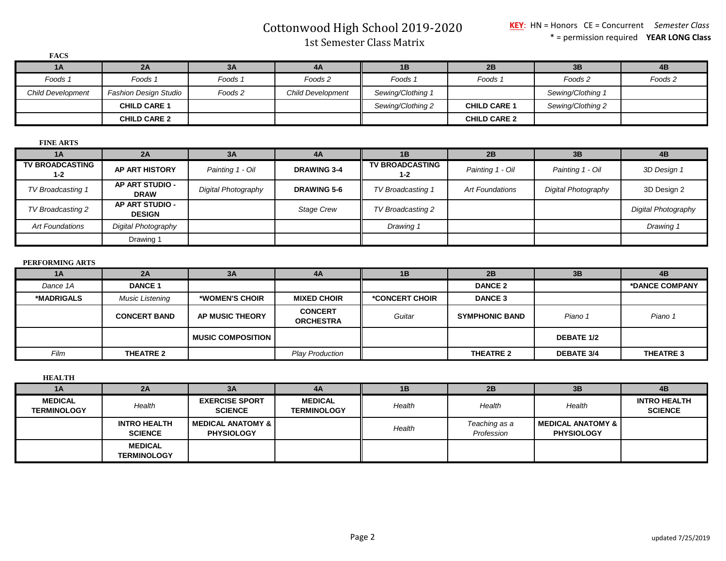Cottonwood High School 2019-2020

1st Semester Class Matrix

| <b>FACS</b>              |                              |         |                          |                   |                     |                   |         |
|--------------------------|------------------------------|---------|--------------------------|-------------------|---------------------|-------------------|---------|
| 1A                       | 2A                           | 3A      | 4A                       | 1B                | 2B                  | 3B                | 4B      |
| Foods 1                  | Foods 1                      | Foods 1 | Foods 2                  | Foods 1           | Foods 1             | Foods 2           | Foods 2 |
| <b>Child Development</b> | <b>Fashion Design Studio</b> | Foods 2 | <b>Child Development</b> | Sewing/Clothing 1 |                     | Sewing/Clothing 1 |         |
|                          | <b>CHILD CARE 1</b>          |         |                          | Sewing/Clothing 2 | <b>CHILD CARE 1</b> | Sewing/Clothing 2 |         |
|                          | <b>CHILD CARE 2</b>          |         |                          |                   | <b>CHILD CARE 2</b> |                   |         |

## **FINE ARTS**

| 1A                                | 2A                               | 3A                  | 4A                 | 1B                                | 2B               | 3B                  | 4B                         |
|-----------------------------------|----------------------------------|---------------------|--------------------|-----------------------------------|------------------|---------------------|----------------------------|
| <b>TV BROADCASTING</b><br>$1 - 2$ | <b>AP ART HISTORY</b>            | Painting 1 - Oil    | <b>DRAWING 3-4</b> | <b>TV BROADCASTING</b><br>$1 - 2$ | Painting 1 - Oil | Painting 1 - Oil    | 3D Design 1                |
| TV Broadcasting 1                 | AP ART STUDIO -<br><b>DRAW</b>   | Digital Photography | <b>DRAWING 5-6</b> | TV Broadcasting 1                 | Art Foundations  | Digital Photography | 3D Design 2                |
| TV Broadcasting 2                 | AP ART STUDIO -<br><b>DESIGN</b> |                     | <b>Stage Crew</b>  | TV Broadcasting 2                 |                  |                     | <b>Digital Photography</b> |
| <b>Art Foundations</b>            | Digital Photography              |                     |                    | Drawing 1                         |                  |                     | Drawing 1                  |
|                                   | Drawing 1                        |                     |                    |                                   |                  |                     |                            |

## **PERFORMING ARTS**

| 1A         | 2A                     | 3A                    | 4A                                 | <b>1B</b>      | 2B                    | 3B                | 4B               |
|------------|------------------------|-----------------------|------------------------------------|----------------|-----------------------|-------------------|------------------|
| Dance 1A   | <b>DANCE 1</b>         |                       |                                    |                | <b>DANCE 2</b>        |                   | *DANCE COMPANY   |
| *MADRIGALS | <b>Music Listening</b> | *WOMEN'S CHOIR        | <b>MIXED CHOIR</b>                 | *CONCERT CHOIR | <b>DANCE 3</b>        |                   |                  |
|            | <b>CONCERT BAND</b>    | AP MUSIC THEORY       | <b>CONCERT</b><br><b>ORCHESTRA</b> | Guitar         | <b>SYMPHONIC BAND</b> | Piano 1           | Piano 1          |
|            |                        | I MUSIC COMPOSITION I |                                    |                |                       | <b>DEBATE 1/2</b> |                  |
| Film       | <b>THEATRE 2</b>       |                       | <b>Play Production</b>             |                | <b>THEATRE 2</b>      | <b>DEBATE 3/4</b> | <b>THEATRE 3</b> |

**HEALTH**

| 1A                                   | 2A                                    | 3A                                         | 4A                                   | 1 <b>B</b> | 2B                          | 3B                                       | 4B                                    |
|--------------------------------------|---------------------------------------|--------------------------------------------|--------------------------------------|------------|-----------------------------|------------------------------------------|---------------------------------------|
| <b>MEDICAL</b><br><b>TERMINOLOGY</b> | Health                                | <b>EXERCISE SPORT</b><br><b>SCIENCE</b>    | <b>MEDICAL</b><br><b>TERMINOLOGY</b> | Health     | Health                      | Health                                   | <b>INTRO HEALTH</b><br><b>SCIENCE</b> |
|                                      | <b>INTRO HEALTH</b><br><b>SCIENCE</b> | I MEDICAL ANATOMY & I<br><b>PHYSIOLOGY</b> |                                      | Health     | Teaching as a<br>Profession | MEDICAL ANATOMY & I<br><b>PHYSIOLOGY</b> |                                       |
|                                      | <b>MEDICAL</b><br><b>TERMINOLOGY</b>  |                                            |                                      |            |                             |                                          |                                       |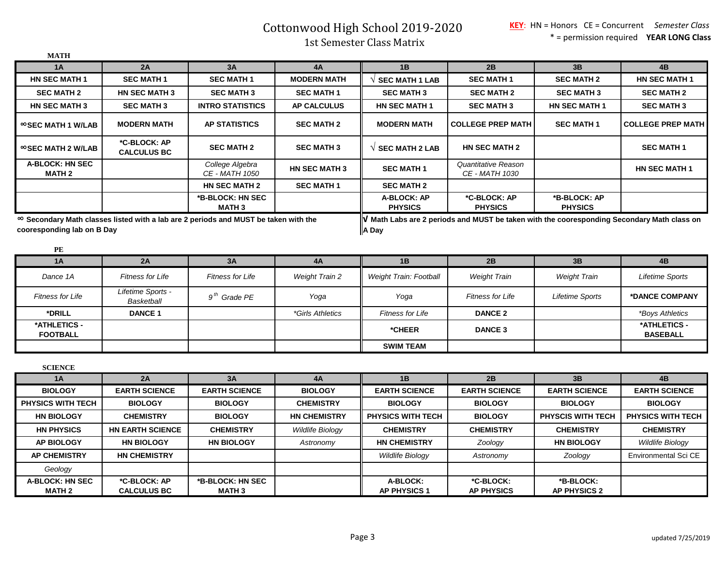Cottonwood High School 2019-2020

1st Semester Class Matrix

| 1A                                      |                                    |                                                                                            |                         |                               |                                                                                                                             |                                |                                 |
|-----------------------------------------|------------------------------------|--------------------------------------------------------------------------------------------|-------------------------|-------------------------------|-----------------------------------------------------------------------------------------------------------------------------|--------------------------------|---------------------------------|
|                                         | 2A                                 | 3A                                                                                         | 4A                      | 1B                            | 2B                                                                                                                          | 3B                             | 4B                              |
| <b>HN SEC MATH 1</b>                    | <b>SEC MATH 1</b>                  | <b>SEC MATH 1</b>                                                                          | <b>MODERN MATH</b>      | <b>SEC MATH 1 LAB</b>         | <b>SEC MATH 1</b>                                                                                                           | <b>SEC MATH 2</b>              | <b>HN SEC MATH 1</b>            |
| <b>SEC MATH 2</b>                       | <b>HN SEC MATH 3</b>               | <b>SEC MATH 3</b>                                                                          | <b>SEC MATH 1</b>       | <b>SEC MATH 3</b>             | <b>SEC MATH 2</b>                                                                                                           | <b>SEC MATH 3</b>              | <b>SEC MATH 2</b>               |
| <b>HN SEC MATH 3</b>                    | <b>SEC MATH 3</b>                  | <b>INTRO STATISTICS</b>                                                                    | <b>AP CALCULUS</b>      | <b>HN SEC MATH 1</b>          | <b>SEC MATH 3</b>                                                                                                           | <b>HN SEC MATH 1</b>           | <b>SEC MATH 3</b>               |
| ≌SEC MATH 1 W/LAB                       | <b>MODERN MATH</b>                 | <b>AP STATISTICS</b>                                                                       | <b>SEC MATH 2</b>       | <b>MODERN MATH</b>            | <b>COLLEGE PREP MATH</b>                                                                                                    | <b>SEC MATH 1</b>              | <b>COLLEGE PREP MATH</b>        |
| $\infty$ SEC MATH 2 W/LAB               | *C-BLOCK: AP<br><b>CALCULUS BC</b> | <b>SEC MATH 2</b>                                                                          | <b>SEC MATH 3</b>       | $\sqrt{ }$ SEC MATH 2 LAB     | <b>HN SEC MATH 2</b>                                                                                                        |                                | <b>SEC MATH 1</b>               |
| <b>A-BLOCK: HN SEC</b><br><b>MATH 2</b> |                                    | College Algebra<br>CE - MATH 1050                                                          | <b>HN SEC MATH 3</b>    | <b>SEC MATH 1</b>             | Quantitative Reason<br>CE - MATH 1030                                                                                       |                                | <b>HN SEC MATH 1</b>            |
|                                         |                                    | <b>HN SEC MATH 2</b>                                                                       | <b>SEC MATH 1</b>       | <b>SEC MATH 2</b>             |                                                                                                                             |                                |                                 |
|                                         |                                    | *B-BLOCK: HN SEC<br><b>MATH3</b>                                                           |                         | A-BLOCK: AP<br><b>PHYSICS</b> | *C-BLOCK: AP<br><b>PHYSICS</b>                                                                                              | *B-BLOCK: AP<br><b>PHYSICS</b> |                                 |
| cooresponding lab on B Day<br>PE        |                                    | $\infty$ Secondary Math classes listed with a lab are 2 periods and MUST be taken with the |                         | A Day                         | $\left\  \bm{\mathsf{V}} \right\ $ Math Labs are 2 periods and MUST be taken with the cooresponding Secondary Math class on |                                |                                 |
| 1A                                      | 2A                                 | 3A                                                                                         | 4A                      | 1B                            | 2B                                                                                                                          | 3B                             | 4B                              |
| Dance 1A                                | <b>Fitness for Life</b>            | <b>Fitness for Life</b>                                                                    | <b>Weight Train 2</b>   | <b>Weight Train: Football</b> | <b>Weight Train</b>                                                                                                         | <b>Weight Train</b>            | Lifetime Sports                 |
|                                         | Lifetime Sports -                  |                                                                                            |                         |                               |                                                                                                                             |                                |                                 |
| <b>Fitness for Life</b>                 | Basketball                         | $9th$ Grade PE                                                                             | Yoga                    | Yoga                          | <b>Fitness for Life</b>                                                                                                     | <b>Lifetime Sports</b>         | *DANCE COMPANY                  |
| *DRILL                                  | <b>DANCE 1</b>                     |                                                                                            | <i>*Girls Athletics</i> | <b>Fitness for Life</b>       | <b>DANCE 2</b>                                                                                                              |                                | <i>*Boys Athletics</i>          |
| *ATHLETICS -<br><b>FOOTBALL</b>         |                                    |                                                                                            |                         | *CHEER                        | <b>DANCE 3</b>                                                                                                              |                                | *ATHLETICS -<br><b>BASEBALL</b> |
|                                         |                                    |                                                                                            |                         | <b>SWIM TEAM</b>              |                                                                                                                             |                                |                                 |
|                                         |                                    |                                                                                            |                         |                               |                                                                                                                             |                                |                                 |
| <b>SCIENCE</b><br>1A                    | 2A                                 | 3A                                                                                         | 4A                      | 1B                            | 2B                                                                                                                          | 3B                             | 4B                              |
| <b>BIOLOGY</b>                          | <b>EARTH SCIENCE</b>               | <b>EARTH SCIENCE</b>                                                                       | <b>BIOLOGY</b>          | <b>EARTH SCIENCE</b>          | <b>EARTH SCIENCE</b>                                                                                                        | <b>EARTH SCIENCE</b>           | <b>EARTH SCIENCE</b>            |
| <b>PHYSICS WITH TECH</b>                | <b>BIOLOGY</b>                     | <b>BIOLOGY</b>                                                                             | <b>CHEMISTRY</b>        | <b>BIOLOGY</b>                | <b>BIOLOGY</b>                                                                                                              | <b>BIOLOGY</b>                 | <b>BIOLOGY</b>                  |
| <b>HN BIOLOGY</b>                       | <b>CHEMISTRY</b>                   | <b>BIOLOGY</b>                                                                             | <b>HN CHEMISTRY</b>     | <b>PHYSICS WITH TECH</b>      | <b>BIOLOGY</b>                                                                                                              | <b>PHYSCIS WITH TECH</b>       | <b>PHYSICS WITH TECH</b>        |
| <b>HN PHYSICS</b>                       | <b>HN EARTH SCIENCE</b>            | <b>CHEMISTRY</b>                                                                           | <b>Wildlife Biology</b> | <b>CHEMISTRY</b>              | <b>CHEMISTRY</b>                                                                                                            | <b>CHEMISTRY</b>               | <b>CHEMISTRY</b>                |
| <b>AP BIOLOGY</b>                       | <b>HN BIOLOGY</b>                  | <b>HN BIOLOGY</b>                                                                          | Astronomy               | <b>HN CHEMISTRY</b>           | Zoology                                                                                                                     | <b>HN BIOLOGY</b>              | <b>Wildlife Biology</b>         |
| <b>AP CHEMISTRY</b>                     | <b>HN CHEMISTRY</b>                |                                                                                            |                         | Wildlife Biology              | Astronomy                                                                                                                   | Zoology                        | <b>Environmental Sci CE</b>     |
| Geology                                 |                                    |                                                                                            |                         |                               |                                                                                                                             |                                |                                 |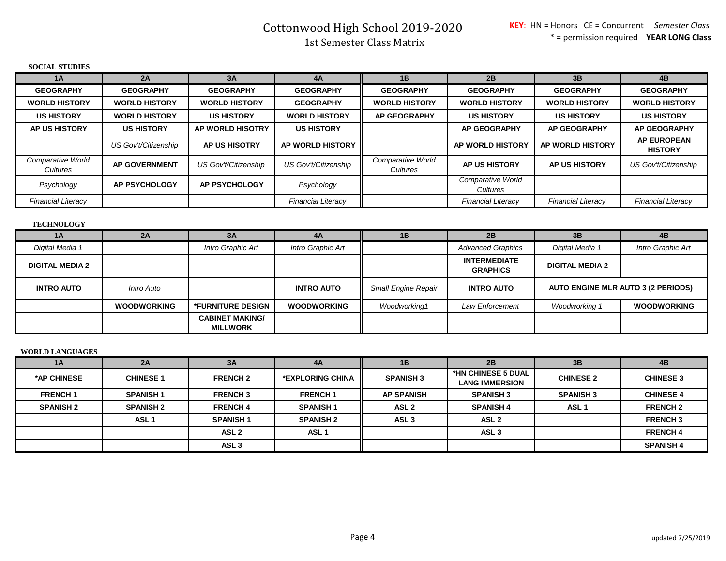# Cottonwood High School 2019-2020 1st Semester Class Matrix

| <b>SOCIAL STUDIES</b>         |                      |                      |                           |                               |                               |                           |                                      |
|-------------------------------|----------------------|----------------------|---------------------------|-------------------------------|-------------------------------|---------------------------|--------------------------------------|
| 1A                            | 2A                   | 3A                   | 4A                        | 1B                            | 2B                            | 3B                        | 4B                                   |
| <b>GEOGRAPHY</b>              | <b>GEOGRAPHY</b>     | <b>GEOGRAPHY</b>     | <b>GEOGRAPHY</b>          | <b>GEOGRAPHY</b>              | <b>GEOGRAPHY</b>              | <b>GEOGRAPHY</b>          | <b>GEOGRAPHY</b>                     |
| <b>WORLD HISTORY</b>          | <b>WORLD HISTORY</b> | <b>WORLD HISTORY</b> | <b>GEOGRAPHY</b>          | <b>WORLD HISTORY</b>          | <b>WORLD HISTORY</b>          | <b>WORLD HISTORY</b>      | <b>WORLD HISTORY</b>                 |
| <b>US HISTORY</b>             | <b>WORLD HISTORY</b> | <b>US HISTORY</b>    | <b>WORLD HISTORY</b>      | <b>AP GEOGRAPHY</b>           | <b>US HISTORY</b>             | <b>US HISTORY</b>         | <b>US HISTORY</b>                    |
| <b>AP US HISTORY</b>          | <b>US HISTORY</b>    | AP WORLD HISOTRY     | <b>US HISTORY</b>         |                               | <b>AP GEOGRAPHY</b>           | <b>AP GEOGRAPHY</b>       | <b>AP GEOGRAPHY</b>                  |
|                               | US Gov't/Citizenship | <b>AP US HISOTRY</b> | AP WORLD HISTORY          |                               | AP WORLD HISTORY              | AP WORLD HISTORY          | <b>AP EUROPEAN</b><br><b>HISTORY</b> |
| Comparative World<br>Cultures | <b>AP GOVERNMENT</b> | US Gov't/Citizenship | US Gov't/Citizenship      | Comparative World<br>Cultures | <b>AP US HISTORY</b>          | <b>AP US HISTORY</b>      | US Gov't/Citizenship                 |
| Psychology                    | <b>AP PSYCHOLOGY</b> | <b>AP PSYCHOLOGY</b> | Psychology                |                               | Comparative World<br>Cultures |                           |                                      |
| <b>Financial Literacy</b>     |                      |                      | <b>Financial Literacy</b> |                               | <b>Financial Literacy</b>     | <b>Financial Literacy</b> | <b>Financial Literacy</b>            |

### **TECHNOLOGY**

| 1A                     | 2A                 | 3A                                        | 4A                 | 1B                         | 2B                                     | 3B                                        | 4B                 |
|------------------------|--------------------|-------------------------------------------|--------------------|----------------------------|----------------------------------------|-------------------------------------------|--------------------|
| Digital Media 1        |                    | Intro Graphic Art                         | Intro Graphic Art  |                            | <b>Advanced Graphics</b>               | Digital Media 1                           | Intro Graphic Art  |
| <b>DIGITAL MEDIA 2</b> |                    |                                           |                    |                            | <b>INTERMEDIATE</b><br><b>GRAPHICS</b> | <b>DIGITAL MEDIA 2</b>                    |                    |
| <b>INTRO AUTO</b>      | Intro Auto         |                                           | <b>INTRO AUTO</b>  | <b>Small Engine Repair</b> | <b>INTRO AUTO</b>                      | <b>AUTO ENGINE MLR AUTO 3 (2 PERIODS)</b> |                    |
|                        | <b>WOODWORKING</b> | <b>*FURNITURE DESIGN</b>                  | <b>WOODWORKING</b> | Woodworking1               | Law Enforcement                        | <b>Woodworking 1</b>                      | <b>WOODWORKING</b> |
|                        |                    | <b>CABINET MAKING/</b><br><b>MILLWORK</b> |                    |                            |                                        |                                           |                    |

### **WORLD LANGUAGES**

| 1A               | 2A               | 3A               | 4A               | 1B                | 2B                                          | 3B               | 4B               |
|------------------|------------------|------------------|------------------|-------------------|---------------------------------------------|------------------|------------------|
| *AP CHINESE      | <b>CHINESE 1</b> | <b>FRENCH 2</b>  | *EXPLORING CHINA | <b>SPANISH 3</b>  | *HN CHINESE 5 DUAL<br><b>LANG IMMERSION</b> | <b>CHINESE 2</b> | <b>CHINESE 3</b> |
| <b>FRENCH1</b>   | <b>SPANISH1</b>  | <b>FRENCH3</b>   | <b>FRENCH1</b>   | <b>AP SPANISH</b> | <b>SPANISH 3</b>                            | <b>SPANISH 3</b> | <b>CHINESE 4</b> |
| <b>SPANISH 2</b> | <b>SPANISH 2</b> | <b>FRENCH 4</b>  | <b>SPANISH1</b>  | ASL <sub>2</sub>  | <b>SPANISH 4</b>                            | ASL <sub>1</sub> | <b>FRENCH 2</b>  |
|                  | ASL <sub>1</sub> | <b>SPANISH 1</b> | <b>SPANISH 2</b> | ASL <sub>3</sub>  | ASL <sub>2</sub>                            |                  | <b>FRENCH3</b>   |
|                  |                  | ASL <sub>2</sub> | ASL <sub>1</sub> |                   | ASL <sub>3</sub>                            |                  | <b>FRENCH4</b>   |
|                  |                  | ASL <sub>3</sub> |                  |                   |                                             |                  | <b>SPANISH 4</b> |